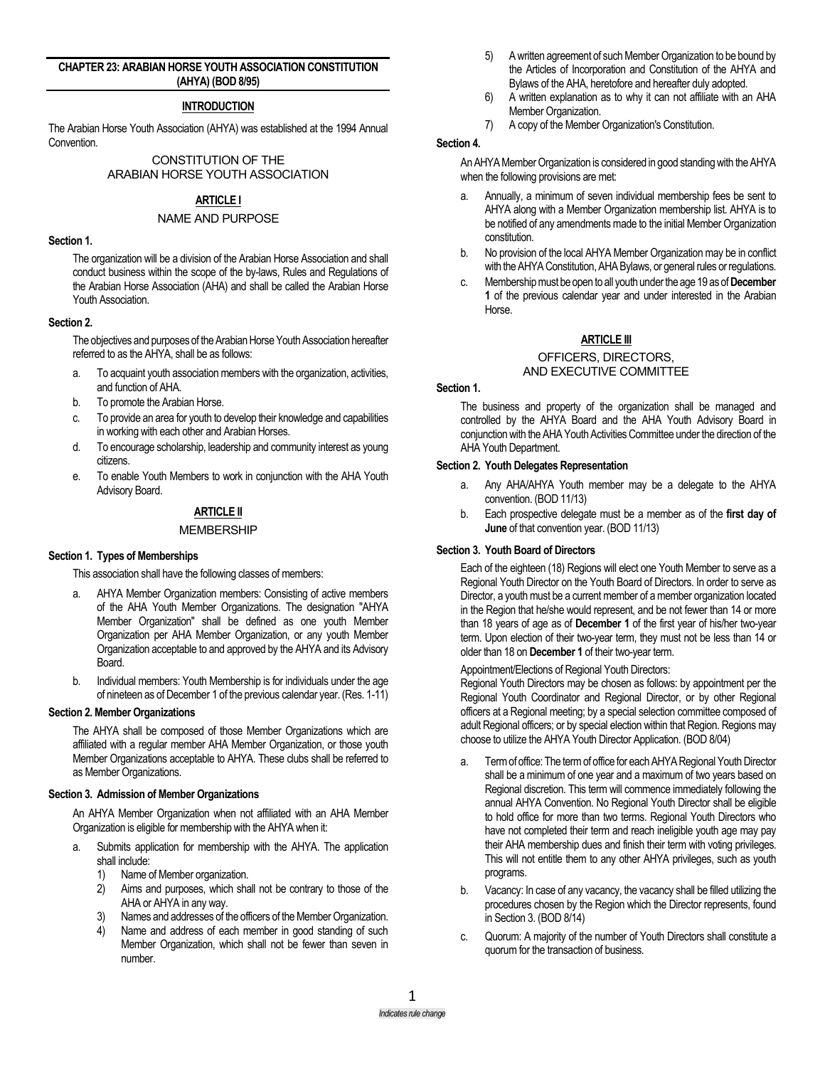### **CHAPTER 23: ARABIAN HORSE YOUTH ASSOCIATION CONSTITUTION (AHYA) (BOD 8/95)**

# **INTRODUCTION**

The Arabian Horse Youth Association (AHYA) was established at the 1994 Annual **Convention** 

> CONSTITUTION OF THE ARABIAN HORSE YOUTH ASSOCIATION

# **ARTICLE I**

### NAME AND PURPOSE

#### **Section 1.**

The organization will be a division of the Arabian Horse Association and shall conduct business within the scope of the by-laws, Rules and Regulations of the Arabian Horse Association (AHA) and shall be called the Arabian Horse Youth Association.

#### **Section 2.**

The objectives and purposes of the Arabian Horse Youth Association hereafter referred to as the AHYA, shall be as follows:

- a. To acquaint youth association members with the organization, activities, and function of AHA.
- b. To promote the Arabian Horse.
- c. To provide an area for youth to develop their knowledge and capabilities in working with each other and Arabian Horses.
- d. To encourage scholarship, leadership and community interest as young citizens.
- e. To enable Youth Members to work in conjunction with the AHA Youth Advisory Board.

# **ARTICLE II**

### **MEMBERSHIP**

# **Section 1. Types of Memberships**

This association shall have the following classes of members:

- AHYA Member Organization members: Consisting of active members of the AHA Youth Member Organizations. The designation "AHYA Member Organization" shall be defined as one youth Member Organization per AHA Member Organization, or any youth Member Organization acceptable to and approved by the AHYA and its Advisory Board.
- b. Individual members: Youth Membership is for individuals under the age of nineteen as of December 1 of the previous calendar year.(Res. 1-11)

#### **Section 2. Member Organizations**

The AHYA shall be composed of those Member Organizations which are affiliated with a regular member AHA Member Organization, or those youth Member Organizations acceptable to AHYA. These clubs shall be referred to as Member Organizations.

# **Section 3. Admission of Member Organizations**

An AHYA Member Organization when not affiliated with an AHA Member Organization is eligible for membership with the AHYA when it:

- a. Submits application for membership with the AHYA. The application shall include:
	- 1) Name of Member organization.
	- 2) Aims and purposes, which shall not be contrary to those of the AHA or AHYA in any way.
	- 3) Names and addresses of the officers of the Member Organization.
	- 4) Name and address of each member in good standing of such Member Organization, which shall not be fewer than seven in number.
- 5) A written agreement of such Member Organization to be bound by the Articles of Incorporation and Constitution of the AHYA and Bylaws of the AHA, heretofore and hereafter duly adopted.
- 6) A written explanation as to why it can not affiliate with an AHA Member Organization.
- 7) A copy of the Member Organization's Constitution.

### **Section 4.**

An AHYA Member Organization is considered in good standing with the AHYA when the following provisions are met:

- a. Annually, a minimum of seven individual membership fees be sent to AHYA along with a Member Organization membership list. AHYA is to be notified of any amendments made to the initial Member Organization constitution.
- b. No provision of the local AHYA Member Organization may be in conflict with the AHYA Constitution, AHA Bylaws, or general rules or regulations.
- c. Membership must be open to all youth under the age 19 as of **December 1** of the previous calendar year and under interested in the Arabian Horse.

#### **ARTICLE III**

# OFFICERS, DIRECTORS,

# AND EXECUTIVE COMMITTEE

# **Section 1.**

The business and property of the organization shall be managed and controlled by the AHYA Board and the AHA Youth Advisory Board in conjunction with the AHA Youth Activities Committee under the direction of the AHA Youth Department.

#### **Section 2. Youth Delegates Representation**

- a. Any AHA/AHYA Youth member may be a delegate to the AHYA convention. (BOD 11/13)
- b. Each prospective delegate must be a member as of the **first day of June** of that convention year. (BOD 11/13)

# **Section 3. Youth Board of Directors**

Each of the eighteen (18) Regions will elect one Youth Member to serve as a Regional Youth Director on the Youth Board of Directors. In order to serve as Director, a youth must be a current member of a member organization located in the Region that he/she would represent, and be not fewer than 14 or more than 18 years of age as of **December 1** of the first year of his/her two-year term. Upon election of their two-year term, they must not be less than 14 or older than 18 on **December 1** of their two-year term.

Appointment/Elections of Regional Youth Directors:

Regional Youth Directors may be chosen as follows: by appointment per the Regional Youth Coordinator and Regional Director, or by other Regional officers at a Regional meeting; by a special selection committee composed of adult Regional officers; or by special election within that Region. Regions may choose to utilize the AHYA Youth Director Application. (BOD 8/04)

- a. Term of office: The term of office for each AHYA Regional Youth Director shall be a minimum of one year and a maximum of two years based on Regional discretion. This term will commence immediately following the annual AHYA Convention. No Regional Youth Director shall be eligible to hold office for more than two terms. Regional Youth Directors who have not completed their term and reach ineligible youth age may pay their AHA membership dues and finish their term with voting privileges. This will not entitle them to any other AHYA privileges, such as youth programs.
- b. Vacancy: In case of any vacancy, the vacancy shall be filled utilizing the procedures chosen by the Region which the Director represents, found in Section 3. (BOD 8/14)
- c. Quorum: A majority of the number of Youth Directors shall constitute a quorum for the transaction of business.